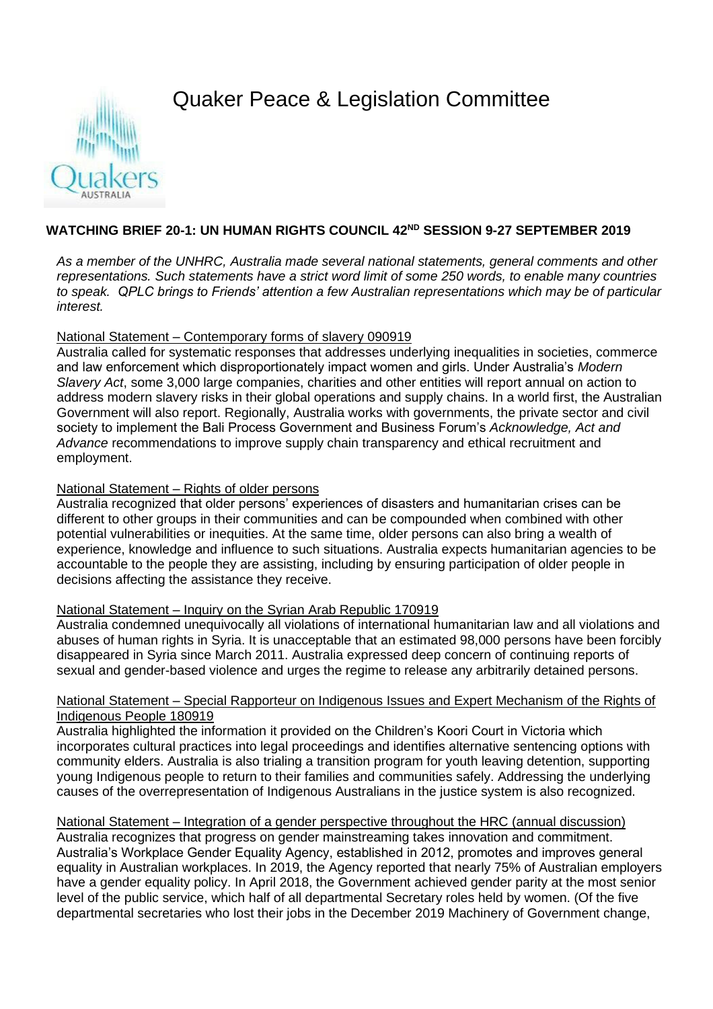# Quaker Peace & Legislation Committee



# **WATCHING BRIEF 20-1: UN HUMAN RIGHTS COUNCIL 42ND SESSION 9-27 SEPTEMBER 2019**

*As a member of the UNHRC, Australia made several national statements, general comments and other representations. Such statements have a strict word limit of some 250 words, to enable many countries to speak. QPLC brings to Friends' attention a few Australian representations which may be of particular interest.*

## National Statement – Contemporary forms of slavery 090919

Australia called for systematic responses that addresses underlying inequalities in societies, commerce and law enforcement which disproportionately impact women and girls. Under Australia's *Modern Slavery Act*, some 3,000 large companies, charities and other entities will report annual on action to address modern slavery risks in their global operations and supply chains. In a world first, the Australian Government will also report. Regionally, Australia works with governments, the private sector and civil society to implement the Bali Process Government and Business Forum's *Acknowledge, Act and Advance* recommendations to improve supply chain transparency and ethical recruitment and employment.

### National Statement – Rights of older persons

Australia recognized that older persons' experiences of disasters and humanitarian crises can be different to other groups in their communities and can be compounded when combined with other potential vulnerabilities or inequities. At the same time, older persons can also bring a wealth of experience, knowledge and influence to such situations. Australia expects humanitarian agencies to be accountable to the people they are assisting, including by ensuring participation of older people in decisions affecting the assistance they receive.

## National Statement – Inquiry on the Syrian Arab Republic 170919

Australia condemned unequivocally all violations of international humanitarian law and all violations and abuses of human rights in Syria. It is unacceptable that an estimated 98,000 persons have been forcibly disappeared in Syria since March 2011. Australia expressed deep concern of continuing reports of sexual and gender-based violence and urges the regime to release any arbitrarily detained persons.

## National Statement – Special Rapporteur on Indigenous Issues and Expert Mechanism of the Rights of Indigenous People 180919

Australia highlighted the information it provided on the Children's Koori Court in Victoria which incorporates cultural practices into legal proceedings and identifies alternative sentencing options with community elders. Australia is also trialing a transition program for youth leaving detention, supporting young Indigenous people to return to their families and communities safely. Addressing the underlying causes of the overrepresentation of Indigenous Australians in the justice system is also recognized.

# National Statement – Integration of a gender perspective throughout the HRC (annual discussion)

Australia recognizes that progress on gender mainstreaming takes innovation and commitment. Australia's Workplace Gender Equality Agency, established in 2012, promotes and improves general equality in Australian workplaces. In 2019, the Agency reported that nearly 75% of Australian employers have a gender equality policy. In April 2018, the Government achieved gender parity at the most senior level of the public service, which half of all departmental Secretary roles held by women. (Of the five departmental secretaries who lost their jobs in the December 2019 Machinery of Government change,